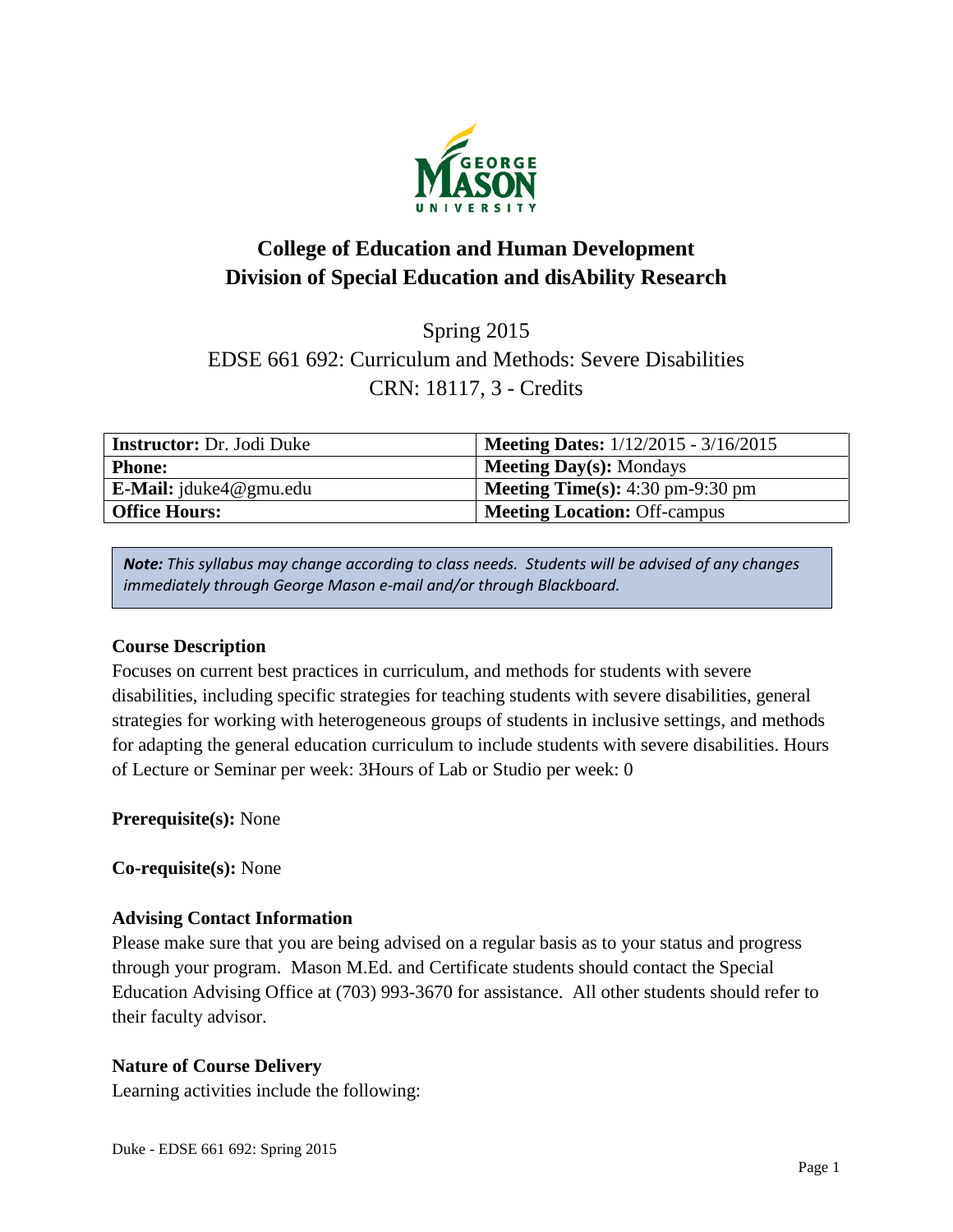

# **College of Education and Human Development Division of Special Education and disAbility Research**

Spring 2015 EDSE 661 692: Curriculum and Methods: Severe Disabilities CRN: 18117, 3 - Credits

| <b>Instructor:</b> Dr. Jodi Duke | <b>Meeting Dates:</b> 1/12/2015 - 3/16/2015               |
|----------------------------------|-----------------------------------------------------------|
| <b>Phone:</b>                    | $\vert$ Meeting Day(s): Mondays                           |
| <b>E-Mail:</b> jduke4@gmu.edu    | <b>Meeting Time(s):</b> $4:30 \text{ pm}-9:30 \text{ pm}$ |
| <b>Office Hours:</b>             | <b>Meeting Location: Off-campus</b>                       |

*Note: This syllabus may change according to class needs. Students will be advised of any changes immediately through George Mason e-mail and/or through Blackboard.*

#### **Course Description**

Focuses on current best practices in curriculum, and methods for students with severe disabilities, including specific strategies for teaching students with severe disabilities, general strategies for working with heterogeneous groups of students in inclusive settings, and methods for adapting the general education curriculum to include students with severe disabilities. Hours of Lecture or Seminar per week: 3Hours of Lab or Studio per week: 0

**Prerequisite(s):** None

**Co-requisite(s):** None

#### **Advising Contact Information**

Please make sure that you are being advised on a regular basis as to your status and progress through your program. Mason M.Ed. and Certificate students should contact the Special Education Advising Office at (703) 993-3670 for assistance. All other students should refer to their faculty advisor.

#### **Nature of Course Delivery**

Learning activities include the following: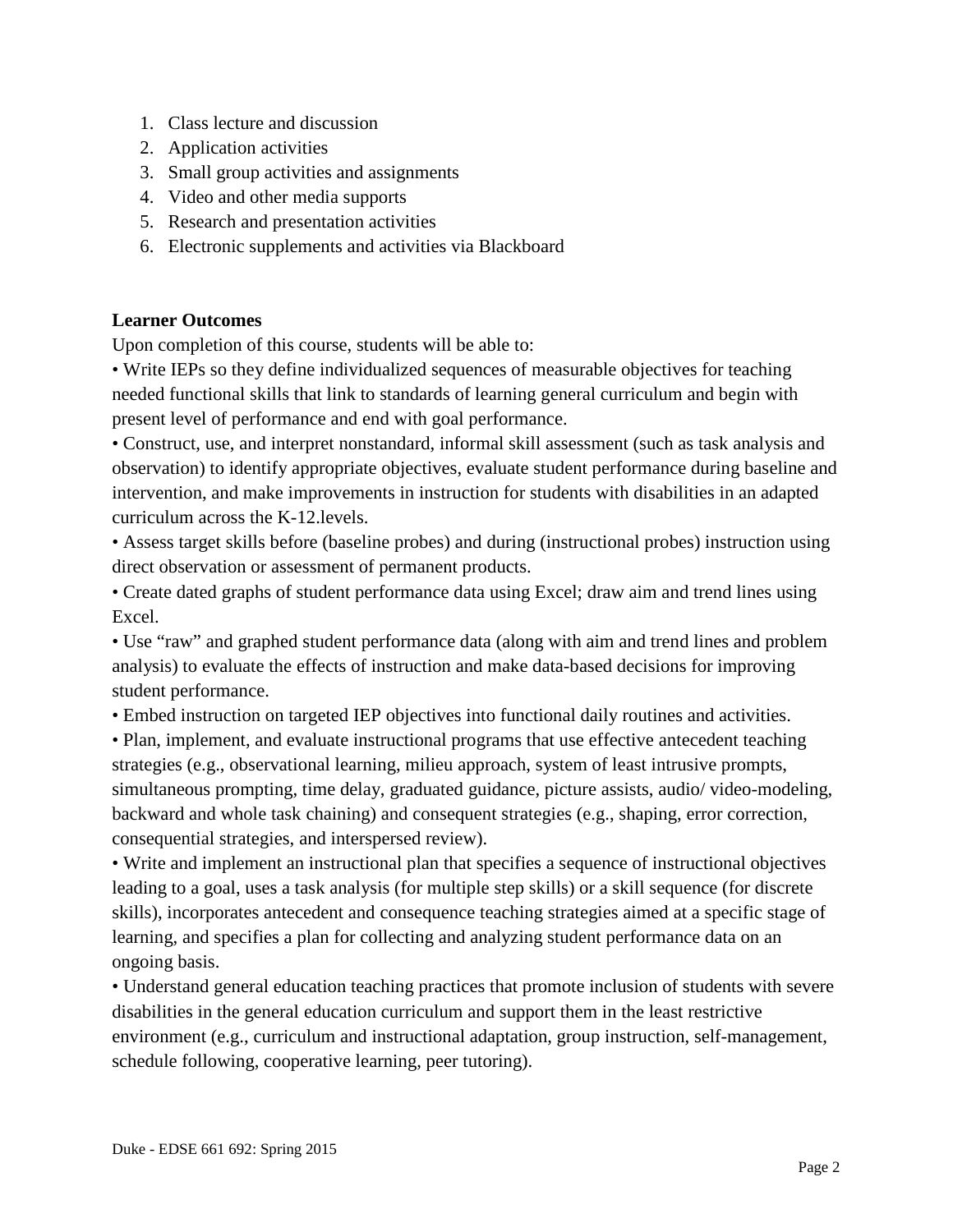- 1. Class lecture and discussion
- 2. Application activities
- 3. Small group activities and assignments
- 4. Video and other media supports
- 5. Research and presentation activities
- 6. Electronic supplements and activities via Blackboard

## **Learner Outcomes**

Upon completion of this course, students will be able to:

• Write IEPs so they define individualized sequences of measurable objectives for teaching needed functional skills that link to standards of learning general curriculum and begin with present level of performance and end with goal performance.

• Construct, use, and interpret nonstandard, informal skill assessment (such as task analysis and observation) to identify appropriate objectives, evaluate student performance during baseline and intervention, and make improvements in instruction for students with disabilities in an adapted curriculum across the K-12.levels.

• Assess target skills before (baseline probes) and during (instructional probes) instruction using direct observation or assessment of permanent products.

• Create dated graphs of student performance data using Excel; draw aim and trend lines using Excel.

• Use "raw" and graphed student performance data (along with aim and trend lines and problem analysis) to evaluate the effects of instruction and make data-based decisions for improving student performance.

• Embed instruction on targeted IEP objectives into functional daily routines and activities.

• Plan, implement, and evaluate instructional programs that use effective antecedent teaching strategies (e.g., observational learning, milieu approach, system of least intrusive prompts, simultaneous prompting, time delay, graduated guidance, picture assists, audio/ video-modeling, backward and whole task chaining) and consequent strategies (e.g., shaping, error correction, consequential strategies, and interspersed review).

• Write and implement an instructional plan that specifies a sequence of instructional objectives leading to a goal, uses a task analysis (for multiple step skills) or a skill sequence (for discrete skills), incorporates antecedent and consequence teaching strategies aimed at a specific stage of learning, and specifies a plan for collecting and analyzing student performance data on an ongoing basis.

• Understand general education teaching practices that promote inclusion of students with severe disabilities in the general education curriculum and support them in the least restrictive environment (e.g., curriculum and instructional adaptation, group instruction, self-management, schedule following, cooperative learning, peer tutoring).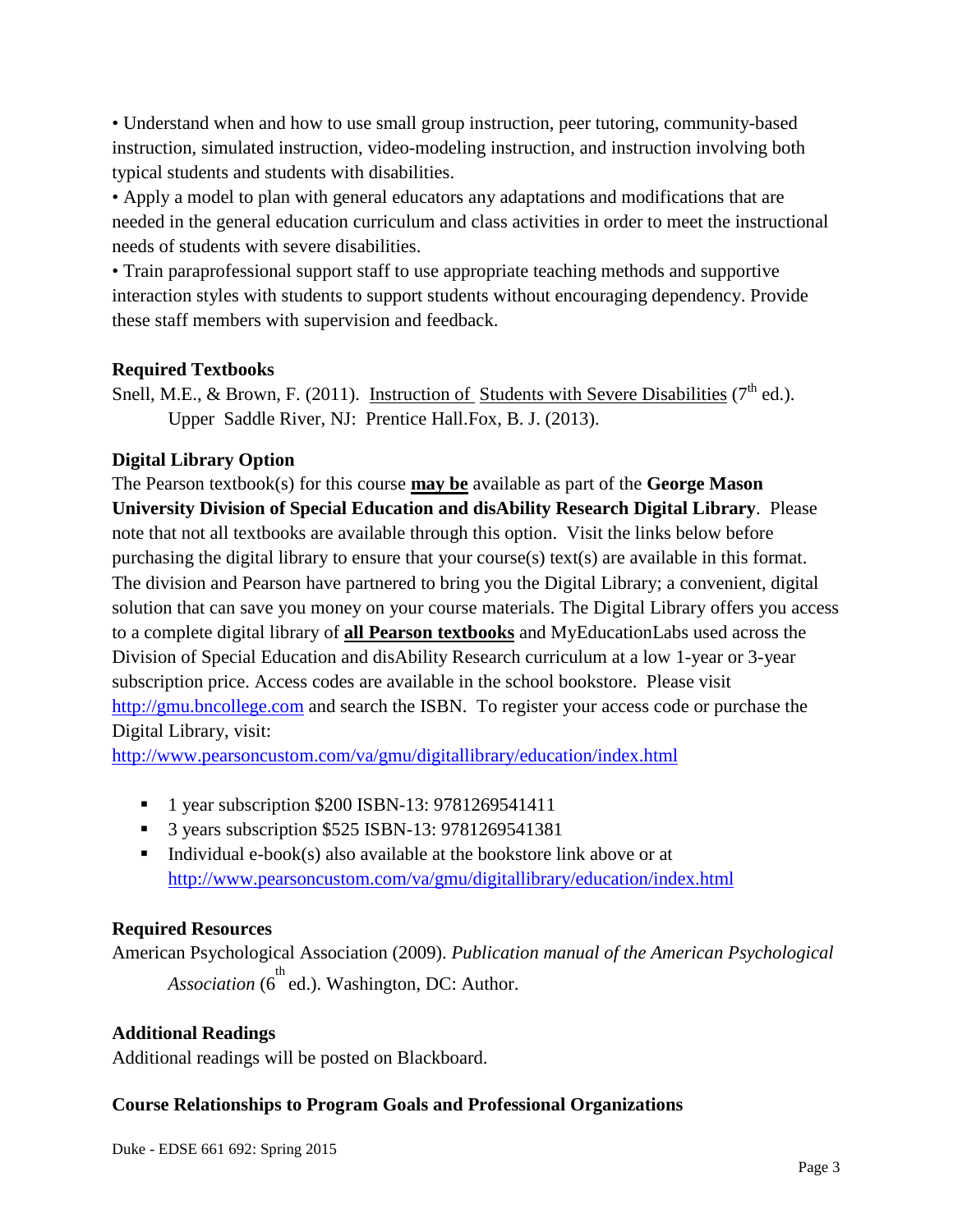• Understand when and how to use small group instruction, peer tutoring, community-based instruction, simulated instruction, video-modeling instruction, and instruction involving both typical students and students with disabilities.

• Apply a model to plan with general educators any adaptations and modifications that are needed in the general education curriculum and class activities in order to meet the instructional needs of students with severe disabilities.

• Train paraprofessional support staff to use appropriate teaching methods and supportive interaction styles with students to support students without encouraging dependency. Provide these staff members with supervision and feedback.

#### **Required Textbooks**

Snell, M.E., & Brown, F. (2011). Instruction of Students with Severe Disabilities ( $7<sup>th</sup>$  ed.). Upper Saddle River, NJ: Prentice Hall.Fox, B. J. (2013).

## **Digital Library Option**

The Pearson textbook(s) for this course **may be** available as part of the **George Mason University Division of Special Education and disAbility Research Digital Library**. Please note that not all textbooks are available through this option. Visit the links below before purchasing the digital library to ensure that your course(s) text(s) are available in this format. The division and Pearson have partnered to bring you the Digital Library; a convenient, digital solution that can save you money on your course materials. The Digital Library offers you access to a complete digital library of **all Pearson textbooks** and MyEducationLabs used across the Division of Special Education and disAbility Research curriculum at a low 1-year or 3-year subscription price. Access codes are available in the school bookstore. Please visit [http://gmu.bncollege.com](http://gmu.bncollege.com/webapp/wcs/stores/servlet/BNCBHomePage?storeId=15552&catalogId=10001&langId=-1) and search the ISBN. To register your access code or purchase the Digital Library, visit:

<http://www.pearsoncustom.com/va/gmu/digitallibrary/education/index.html>

- <sup>1</sup> 1 year subscription \$200 ISBN-13: 9781269541411
- 3 years subscription \$525 ISBN-13: 9781269541381
- Individual e-book(s) also available at the bookstore link above or at <http://www.pearsoncustom.com/va/gmu/digitallibrary/education/index.html>

#### **Required Resources**

American Psychological Association (2009). *Publication manual of the American Psychological*  Association (6<sup>th</sup> ed.). Washington, DC: Author.

#### **Additional Readings**

Additional readings will be posted on Blackboard.

#### **Course Relationships to Program Goals and Professional Organizations**

Duke - EDSE 661 692: Spring 2015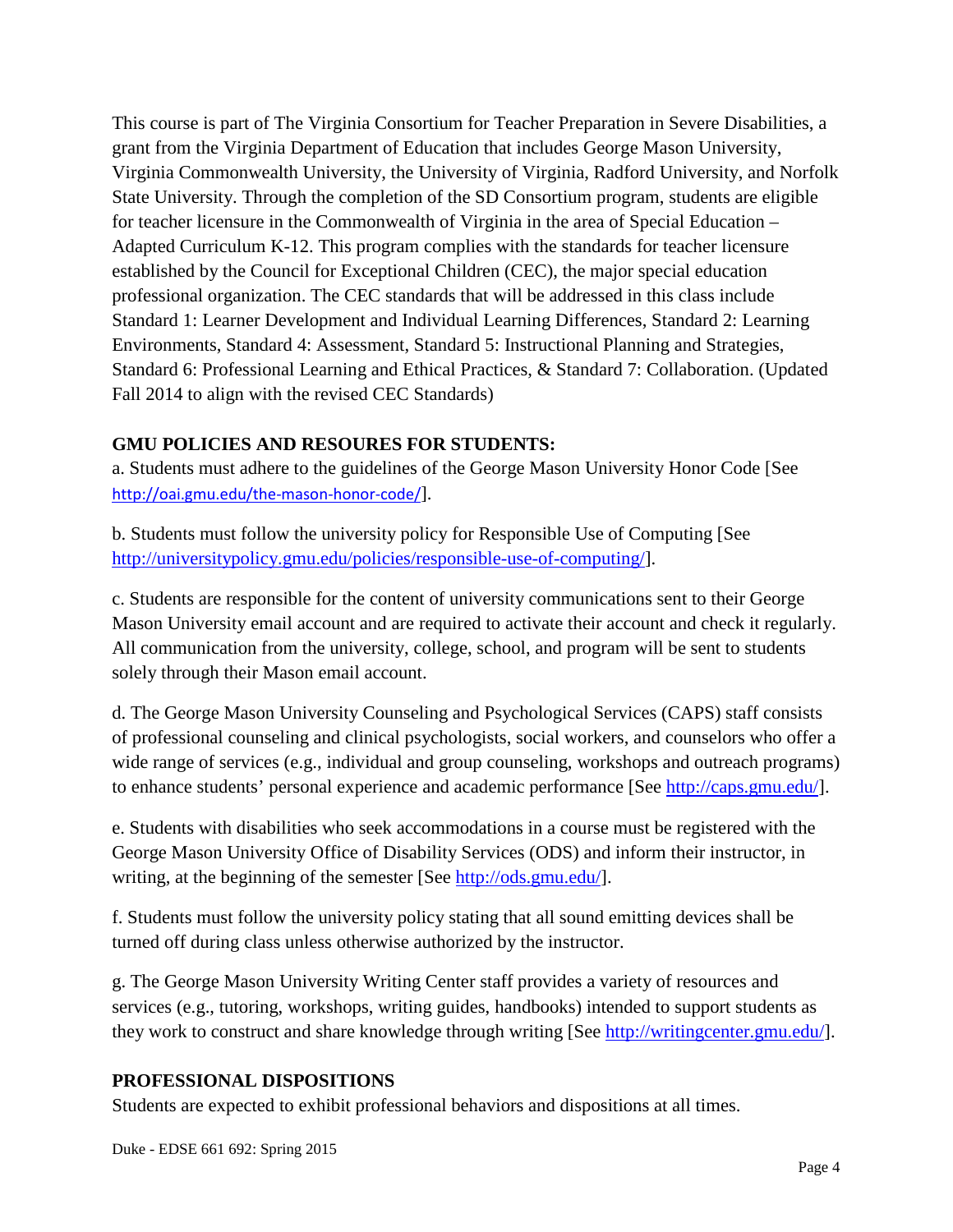This course is part of The Virginia Consortium for Teacher Preparation in Severe Disabilities, a grant from the Virginia Department of Education that includes George Mason University, Virginia Commonwealth University, the University of Virginia, Radford University, and Norfolk State University. Through the completion of the SD Consortium program, students are eligible for teacher licensure in the Commonwealth of Virginia in the area of Special Education – Adapted Curriculum K-12. This program complies with the standards for teacher licensure established by the Council for Exceptional Children (CEC), the major special education professional organization. The CEC standards that will be addressed in this class include Standard 1: Learner Development and Individual Learning Differences, Standard 2: Learning Environments, Standard 4: Assessment, Standard 5: Instructional Planning and Strategies, Standard 6: Professional Learning and Ethical Practices, & Standard 7: Collaboration. (Updated Fall 2014 to align with the revised CEC Standards)

#### **GMU POLICIES AND RESOURES FOR STUDENTS:**

a. Students must adhere to the guidelines of the George Mason University Honor Code [See <http://oai.gmu.edu/the-mason-honor-code/>].

b. Students must follow the university policy for Responsible Use of Computing [See [http://universitypolicy.gmu.edu/policies/responsible-use-of-computing/\]](http://universitypolicy.gmu.edu/policies/responsible-use-of-computing/).

c. Students are responsible for the content of university communications sent to their George Mason University email account and are required to activate their account and check it regularly. All communication from the university, college, school, and program will be sent to students solely through their Mason email account.

d. The George Mason University Counseling and Psychological Services (CAPS) staff consists of professional counseling and clinical psychologists, social workers, and counselors who offer a wide range of services (e.g., individual and group counseling, workshops and outreach programs) to enhance students' personal experience and academic performance [See [http://caps.gmu.edu/\]](http://caps.gmu.edu/).

e. Students with disabilities who seek accommodations in a course must be registered with the George Mason University Office of Disability Services (ODS) and inform their instructor, in writing, at the beginning of the semester [See [http://ods.gmu.edu/\]](http://ods.gmu.edu/).

f. Students must follow the university policy stating that all sound emitting devices shall be turned off during class unless otherwise authorized by the instructor.

g. The George Mason University Writing Center staff provides a variety of resources and services (e.g., tutoring, workshops, writing guides, handbooks) intended to support students as they work to construct and share knowledge through writing [See [http://writingcenter.gmu.edu/\]](http://writingcenter.gmu.edu/).

#### **PROFESSIONAL DISPOSITIONS**

Students are expected to exhibit professional behaviors and dispositions at all times.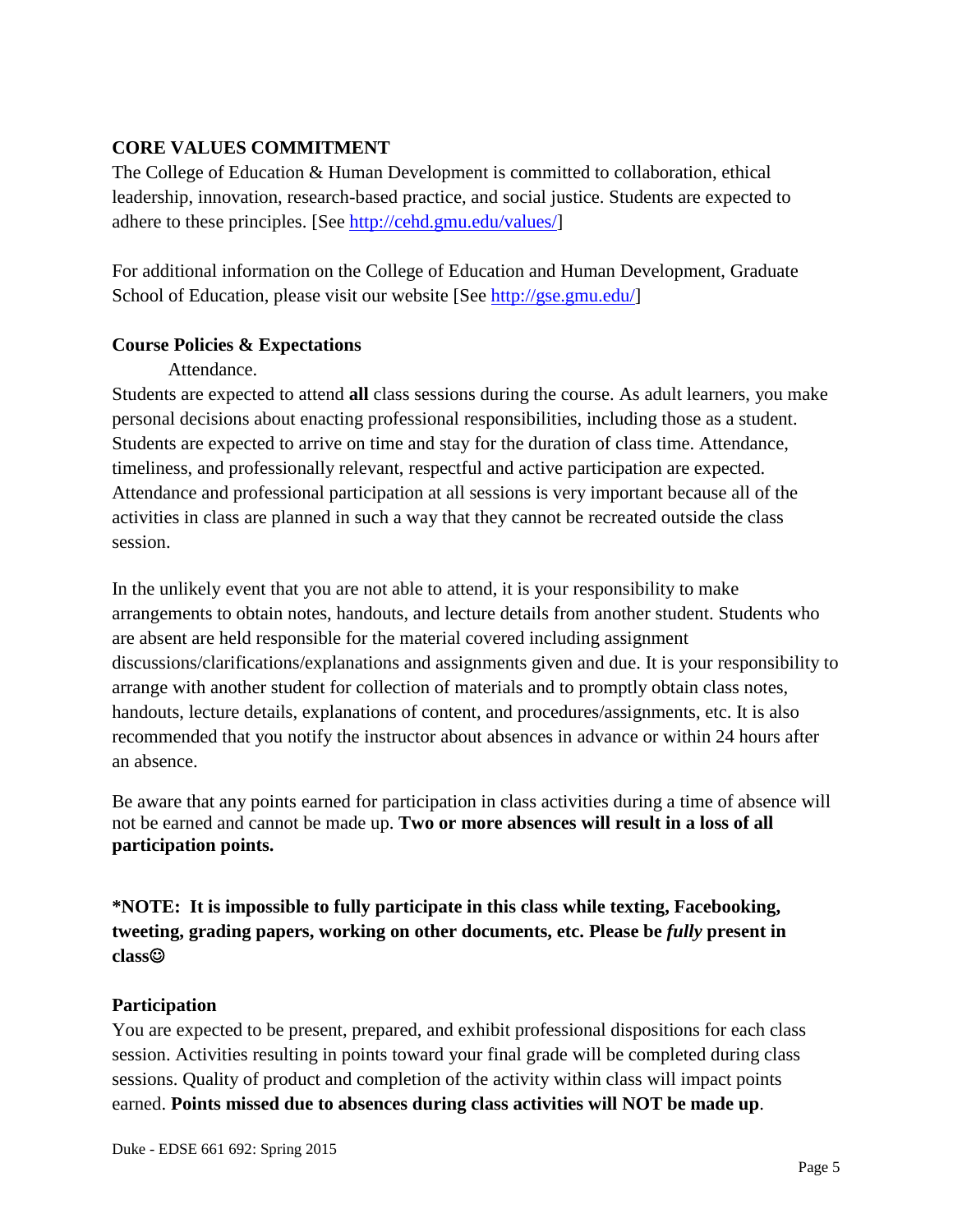#### **CORE VALUES COMMITMENT**

The College of Education & Human Development is committed to collaboration, ethical leadership, innovation, research-based practice, and social justice. Students are expected to adhere to these principles. [See [http://cehd.gmu.edu/values/\]](http://cehd.gmu.edu/values/)

For additional information on the College of Education and Human Development, Graduate School of Education, please visit our website [See [http://gse.gmu.edu/\]](http://gse.gmu.edu/)

#### **Course Policies & Expectations**

#### Attendance.

Students are expected to attend **all** class sessions during the course. As adult learners, you make personal decisions about enacting professional responsibilities, including those as a student. Students are expected to arrive on time and stay for the duration of class time. Attendance, timeliness, and professionally relevant, respectful and active participation are expected. Attendance and professional participation at all sessions is very important because all of the activities in class are planned in such a way that they cannot be recreated outside the class session.

In the unlikely event that you are not able to attend, it is your responsibility to make arrangements to obtain notes, handouts, and lecture details from another student. Students who are absent are held responsible for the material covered including assignment discussions/clarifications/explanations and assignments given and due. It is your responsibility to arrange with another student for collection of materials and to promptly obtain class notes, handouts, lecture details, explanations of content, and procedures/assignments, etc. It is also recommended that you notify the instructor about absences in advance or within 24 hours after an absence.

Be aware that any points earned for participation in class activities during a time of absence will not be earned and cannot be made up. **Two or more absences will result in a loss of all participation points.** 

# **\*NOTE: It is impossible to fully participate in this class while texting, Facebooking, tweeting, grading papers, working on other documents, etc. Please be** *fully* **present in class**

#### **Participation**

You are expected to be present, prepared, and exhibit professional dispositions for each class session. Activities resulting in points toward your final grade will be completed during class sessions. Quality of product and completion of the activity within class will impact points earned. **Points missed due to absences during class activities will NOT be made up**.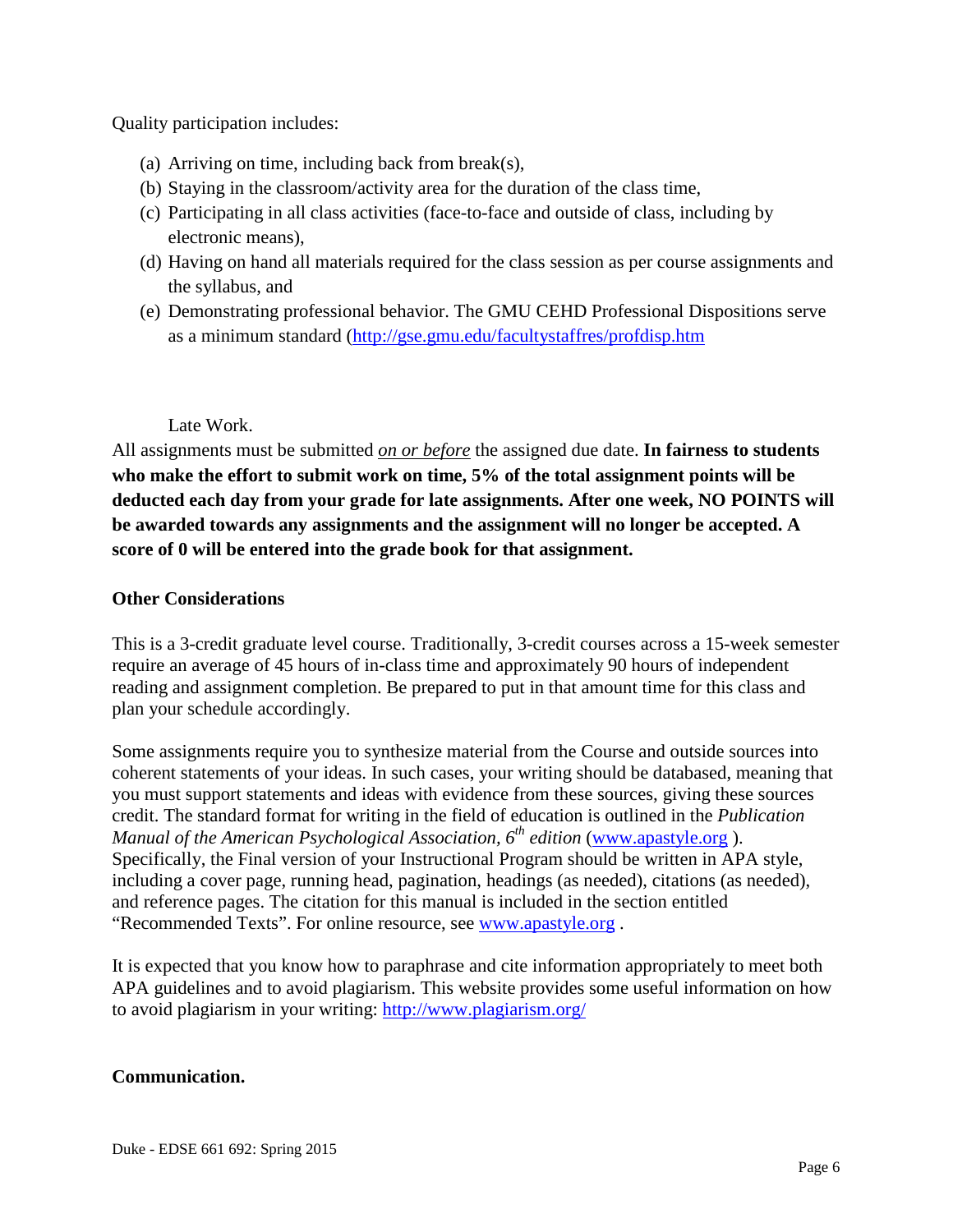Quality participation includes:

- (a) Arriving on time, including back from break(s),
- (b) Staying in the classroom/activity area for the duration of the class time,
- (c) Participating in all class activities (face-to-face and outside of class, including by electronic means),
- (d) Having on hand all materials required for the class session as per course assignments and the syllabus, and
- (e) Demonstrating professional behavior. The GMU CEHD Professional Dispositions serve as a minimum standard [\(http://gse.gmu.edu/facultystaffres/profdisp.htm](http://gse.gmu.edu/facultystaffres/profdisp.htm)

#### Late Work.

All assignments must be submitted *on or before* the assigned due date. **In fairness to students who make the effort to submit work on time, 5% of the total assignment points will be deducted each day from your grade for late assignments. After one week, NO POINTS will be awarded towards any assignments and the assignment will no longer be accepted. A score of 0 will be entered into the grade book for that assignment.** 

#### **Other Considerations**

This is a 3-credit graduate level course. Traditionally, 3-credit courses across a 15-week semester require an average of 45 hours of in-class time and approximately 90 hours of independent reading and assignment completion. Be prepared to put in that amount time for this class and plan your schedule accordingly.

Some assignments require you to synthesize material from the Course and outside sources into coherent statements of your ideas. In such cases, your writing should be databased, meaning that you must support statements and ideas with evidence from these sources, giving these sources credit. The standard format for writing in the field of education is outlined in the *Publication Manual of the American Psychological Association, 6<sup>th</sup> edition [\(www.apastyle.org](http://www.apastyle.org/)).* Specifically, the Final version of your Instructional Program should be written in APA style, including a cover page, running head, pagination, headings (as needed), citations (as needed), and reference pages. The citation for this manual is included in the section entitled "Recommended Texts". For online resource, see [www.apastyle.org](http://www.apastyle.org/) .

It is expected that you know how to paraphrase and cite information appropriately to meet both APA guidelines and to avoid plagiarism. This website provides some useful information on how to avoid plagiarism in your writing: http://www.plagiarism.org/

#### **Communication.**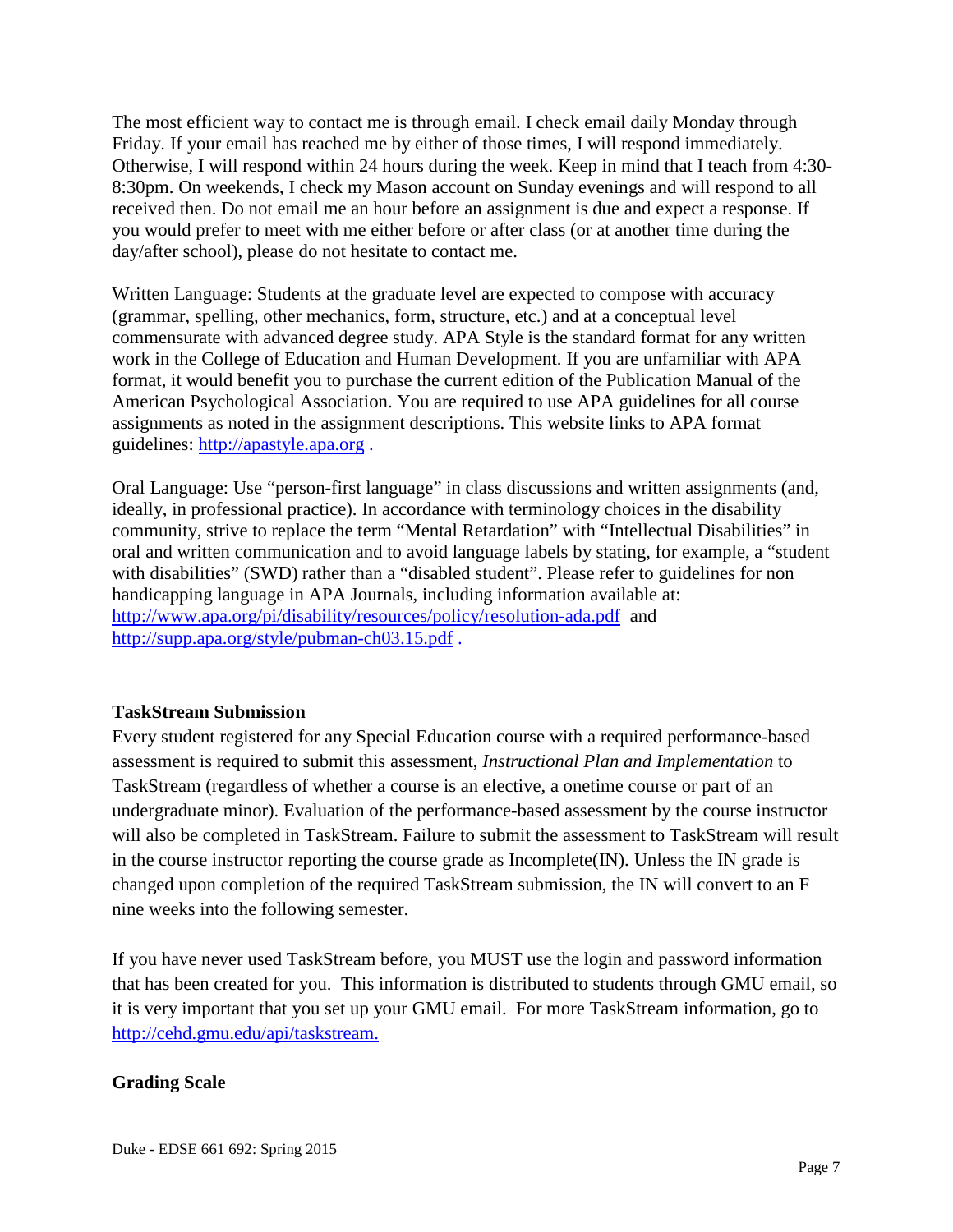The most efficient way to contact me is through email. I check email daily Monday through Friday. If your email has reached me by either of those times, I will respond immediately. Otherwise, I will respond within 24 hours during the week. Keep in mind that I teach from 4:30- 8:30pm. On weekends, I check my Mason account on Sunday evenings and will respond to all received then. Do not email me an hour before an assignment is due and expect a response. If you would prefer to meet with me either before or after class (or at another time during the day/after school), please do not hesitate to contact me.

Written Language: Students at the graduate level are expected to compose with accuracy (grammar, spelling, other mechanics, form, structure, etc.) and at a conceptual level commensurate with advanced degree study. APA Style is the standard format for any written work in the College of Education and Human Development. If you are unfamiliar with APA format, it would benefit you to purchase the current edition of the Publication Manual of the American Psychological Association. You are required to use APA guidelines for all course assignments as noted in the assignment descriptions. This website links to APA format guidelines: [http://apastyle.apa.org](http://apastyle.apa.org/) .

Oral Language: Use "person-first language" in class discussions and written assignments (and, ideally, in professional practice). In accordance with terminology choices in the disability community, strive to replace the term "Mental Retardation" with "Intellectual Disabilities" in oral and written communication and to avoid language labels by stating, for example, a "student with disabilities" (SWD) rather than a "disabled student". Please refer to guidelines for non handicapping language in APA Journals, including information available at: <http://www.apa.org/pi/disability/resources/policy/resolution-ada.pdf>and <http://supp.apa.org/style/pubman-ch03.15.pdf> .

#### **TaskStream Submission**

Every student registered for any Special Education course with a required performance-based assessment is required to submit this assessment, *Instructional Plan and Implementation* to TaskStream (regardless of whether a course is an elective, a onetime course or part of an undergraduate minor). Evaluation of the performance-based assessment by the course instructor will also be completed in TaskStream. Failure to submit the assessment to TaskStream will result in the course instructor reporting the course grade as Incomplete(IN). Unless the IN grade is changed upon completion of the required TaskStream submission, the IN will convert to an F nine weeks into the following semester.

If you have never used TaskStream before, you MUST use the login and password information that has been created for you. This information is distributed to students through GMU email, so it is very important that you set up your GMU email. For more TaskStream information, go to [http://cehd.gmu.edu/api/taskstream.](http://cehd.gmu.edu/api/taskstream)

#### **Grading Scale**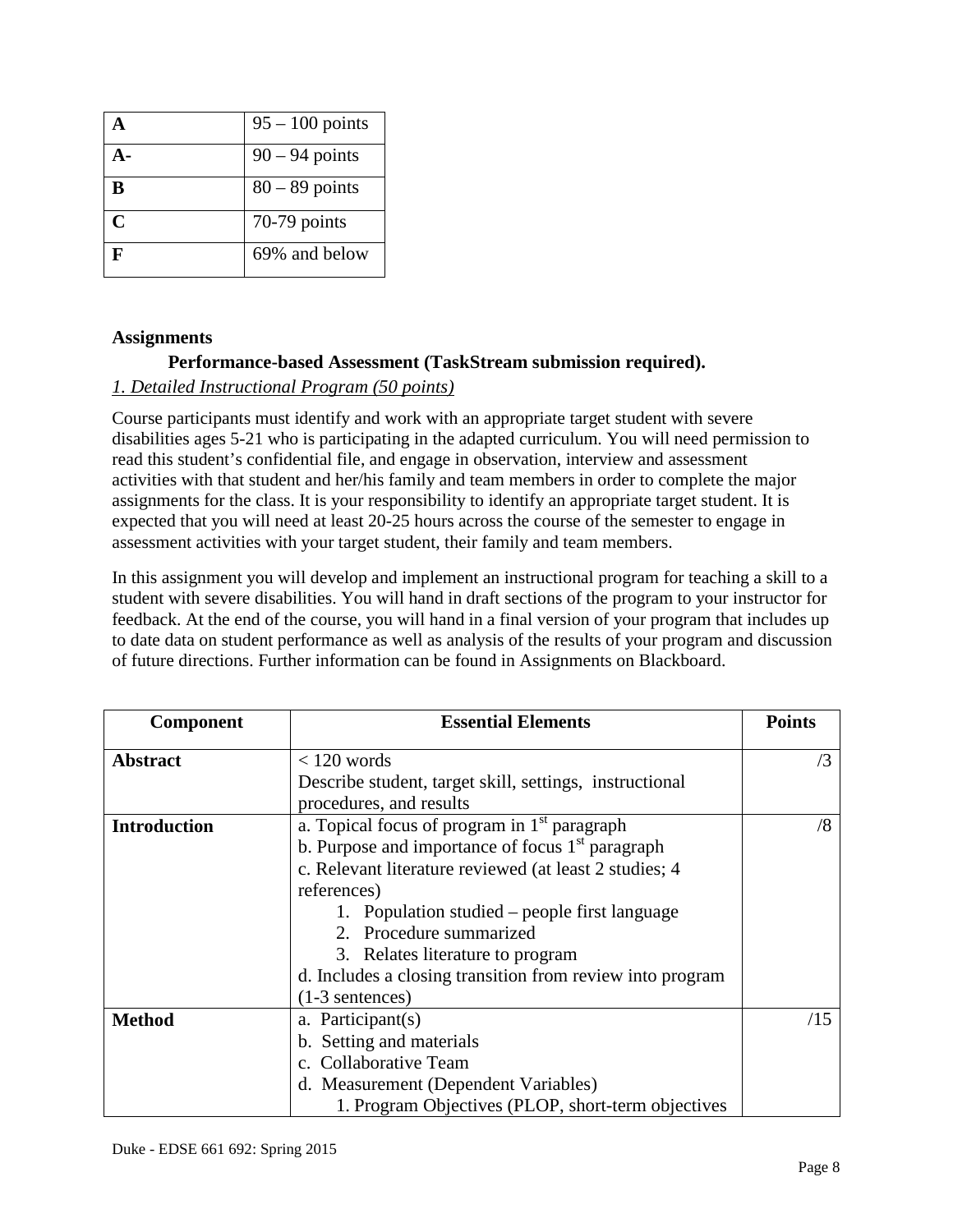|                   | $95 - 100$ points |
|-------------------|-------------------|
|                   | $90 - 94$ points  |
| B                 | $80 - 89$ points  |
| $\mathsf{\Gamma}$ | $70-79$ points    |
|                   | 69% and below     |

#### **Assignments**

#### **Performance-based Assessment (TaskStream submission required).**

#### *1. Detailed Instructional Program (50 points)*

Course participants must identify and work with an appropriate target student with severe disabilities ages 5-21 who is participating in the adapted curriculum. You will need permission to read this student's confidential file, and engage in observation, interview and assessment activities with that student and her/his family and team members in order to complete the major assignments for the class. It is your responsibility to identify an appropriate target student. It is expected that you will need at least 20-25 hours across the course of the semester to engage in assessment activities with your target student, their family and team members.

In this assignment you will develop and implement an instructional program for teaching a skill to a student with severe disabilities. You will hand in draft sections of the program to your instructor for feedback. At the end of the course, you will hand in a final version of your program that includes up to date data on student performance as well as analysis of the results of your program and discussion of future directions. Further information can be found in Assignments on Blackboard.

| Component           | <b>Essential Elements</b>                                 | <b>Points</b> |  |
|---------------------|-----------------------------------------------------------|---------------|--|
| <b>Abstract</b>     | $< 120$ words                                             | $\sqrt{3}$    |  |
|                     | Describe student, target skill, settings, instructional   |               |  |
|                     | procedures, and results                                   |               |  |
| <b>Introduction</b> | a. Topical focus of program in $1st$ paragraph            |               |  |
|                     | b. Purpose and importance of focus $1st$ paragraph        |               |  |
|                     | c. Relevant literature reviewed (at least 2 studies; 4    |               |  |
|                     | references)                                               |               |  |
|                     | 1. Population studied – people first language             |               |  |
|                     | 2. Procedure summarized                                   |               |  |
|                     | 3. Relates literature to program                          |               |  |
|                     | d. Includes a closing transition from review into program |               |  |
|                     | $(1-3$ sentences)                                         |               |  |
| <b>Method</b>       | a. Participant(s)                                         | /15           |  |
|                     | b. Setting and materials                                  |               |  |
|                     | c. Collaborative Team                                     |               |  |
|                     | d. Measurement (Dependent Variables)                      |               |  |
|                     | 1. Program Objectives (PLOP, short-term objectives        |               |  |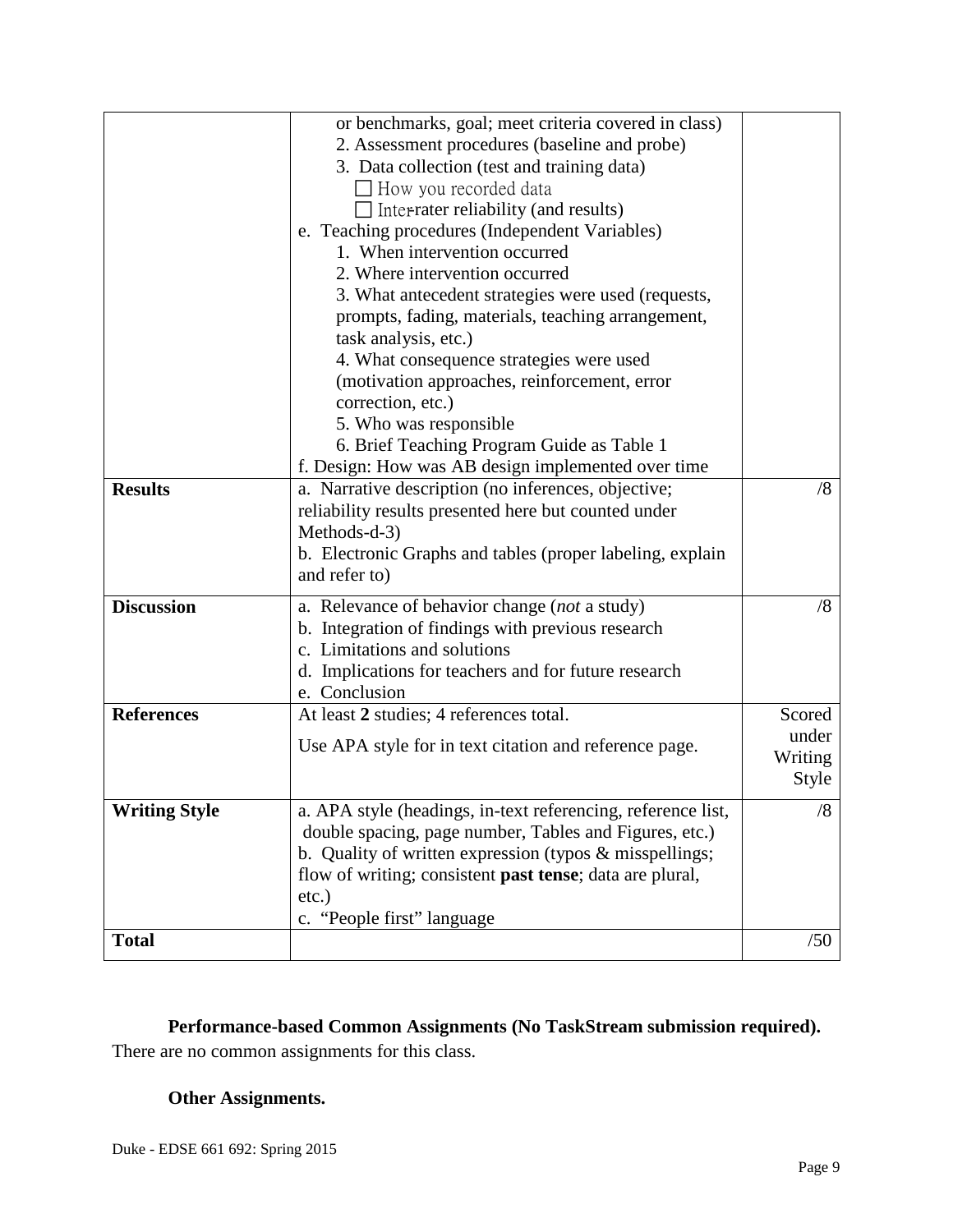|                                               | or benchmarks, goal; meet criteria covered in class)                                                    |         |  |
|-----------------------------------------------|---------------------------------------------------------------------------------------------------------|---------|--|
| 2. Assessment procedures (baseline and probe) |                                                                                                         |         |  |
|                                               | 3. Data collection (test and training data)                                                             |         |  |
|                                               | How you recorded data                                                                                   |         |  |
|                                               | $\Box$ Inter-rater reliability (and results)                                                            |         |  |
|                                               |                                                                                                         |         |  |
|                                               | e. Teaching procedures (Independent Variables)<br>1. When intervention occurred                         |         |  |
|                                               |                                                                                                         |         |  |
| 2. Where intervention occurred                |                                                                                                         |         |  |
|                                               | 3. What antecedent strategies were used (requests,<br>prompts, fading, materials, teaching arrangement, |         |  |
|                                               | task analysis, etc.)                                                                                    |         |  |
|                                               | 4. What consequence strategies were used                                                                |         |  |
|                                               | (motivation approaches, reinforcement, error                                                            |         |  |
|                                               | correction, etc.)                                                                                       |         |  |
|                                               | 5. Who was responsible                                                                                  |         |  |
|                                               | 6. Brief Teaching Program Guide as Table 1                                                              |         |  |
|                                               | f. Design: How was AB design implemented over time                                                      |         |  |
| <b>Results</b>                                |                                                                                                         | /8      |  |
|                                               | a. Narrative description (no inferences, objective;                                                     |         |  |
|                                               | reliability results presented here but counted under<br>Methods-d-3)                                    |         |  |
|                                               |                                                                                                         |         |  |
|                                               | b. Electronic Graphs and tables (proper labeling, explain                                               |         |  |
|                                               | and refer to)                                                                                           |         |  |
| <b>Discussion</b>                             | a. Relevance of behavior change (not a study)                                                           | /8      |  |
|                                               | b. Integration of findings with previous research                                                       |         |  |
|                                               | c. Limitations and solutions                                                                            |         |  |
|                                               | d. Implications for teachers and for future research                                                    |         |  |
|                                               | e. Conclusion                                                                                           |         |  |
| <b>References</b>                             | At least 2 studies; 4 references total.                                                                 | Scored  |  |
|                                               | Use APA style for in text citation and reference page.                                                  | under   |  |
|                                               |                                                                                                         | Writing |  |
|                                               |                                                                                                         | Style   |  |
| <b>Writing Style</b>                          | a. APA style (headings, in-text referencing, reference list,                                            | /8      |  |
|                                               | double spacing, page number, Tables and Figures, etc.)                                                  |         |  |
|                                               | b. Quality of written expression (typos $\&$ misspellings;                                              |         |  |
|                                               | flow of writing; consistent past tense; data are plural,                                                |         |  |
|                                               | $etc.$ )                                                                                                |         |  |
|                                               | c. "People first" language                                                                              |         |  |
| <b>Total</b>                                  |                                                                                                         | /50     |  |
|                                               |                                                                                                         |         |  |

# **Performance-based Common Assignments (No TaskStream submission required).**

There are no common assignments for this class.

# **Other Assignments.**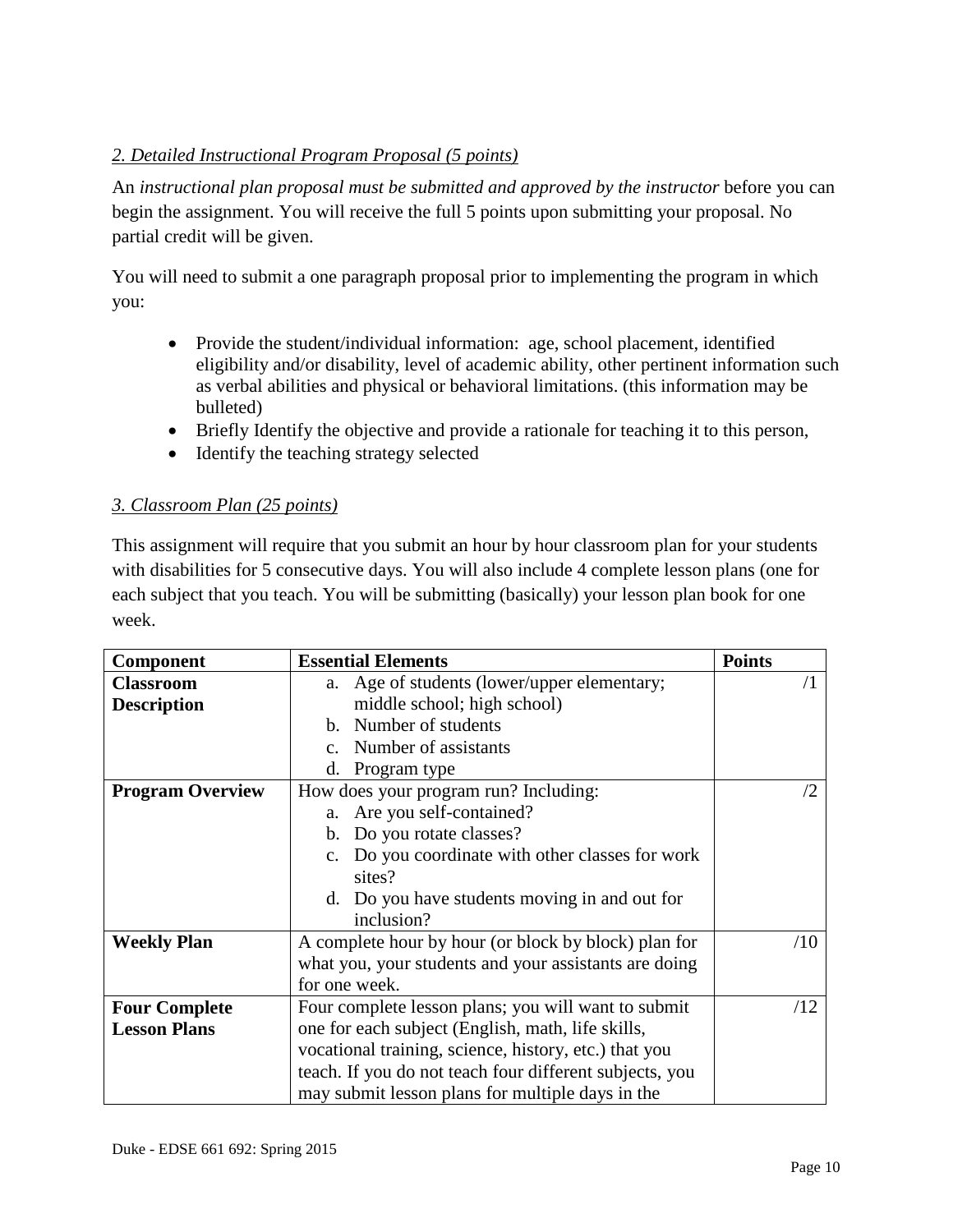# *2. Detailed Instructional Program Proposal (5 points)*

An *instructional plan proposal must be submitted and approved by the instructor* before you can begin the assignment. You will receive the full 5 points upon submitting your proposal. No partial credit will be given.

You will need to submit a one paragraph proposal prior to implementing the program in which you:

- Provide the student/individual information: age, school placement, identified eligibility and/or disability, level of academic ability, other pertinent information such as verbal abilities and physical or behavioral limitations. (this information may be bulleted)
- Briefly Identify the objective and provide a rationale for teaching it to this person,
- Identify the teaching strategy selected

## *3. Classroom Plan (25 points)*

This assignment will require that you submit an hour by hour classroom plan for your students with disabilities for 5 consecutive days. You will also include 4 complete lesson plans (one for each subject that you teach. You will be submitting (basically) your lesson plan book for one week.

| <b>Component</b>                                                 | <b>Essential Elements</b>                                    | <b>Points</b> |
|------------------------------------------------------------------|--------------------------------------------------------------|---------------|
| <b>Classroom</b>                                                 | Age of students (lower/upper elementary;<br>a.               | $\sqrt{1}$    |
| <b>Description</b>                                               | middle school; high school)                                  |               |
|                                                                  | b. Number of students                                        |               |
|                                                                  | c. Number of assistants                                      |               |
|                                                                  | d.<br>Program type                                           |               |
| How does your program run? Including:<br><b>Program Overview</b> |                                                              | /2            |
|                                                                  | a. Are you self-contained?                                   |               |
|                                                                  | b. Do you rotate classes?                                    |               |
|                                                                  | Do you coordinate with other classes for work<br>$c_{\cdot}$ |               |
|                                                                  | sites?                                                       |               |
|                                                                  | d. Do you have students moving in and out for                |               |
|                                                                  | inclusion?                                                   |               |
| <b>Weekly Plan</b>                                               | A complete hour by hour (or block by block) plan for         |               |
|                                                                  | what you, your students and your assistants are doing        |               |
|                                                                  | for one week.                                                |               |
| <b>Four Complete</b>                                             | Four complete lesson plans; you will want to submit          | /12           |
| <b>Lesson Plans</b>                                              | one for each subject (English, math, life skills,            |               |
|                                                                  | vocational training, science, history, etc.) that you        |               |
|                                                                  | teach. If you do not teach four different subjects, you      |               |
|                                                                  | may submit lesson plans for multiple days in the             |               |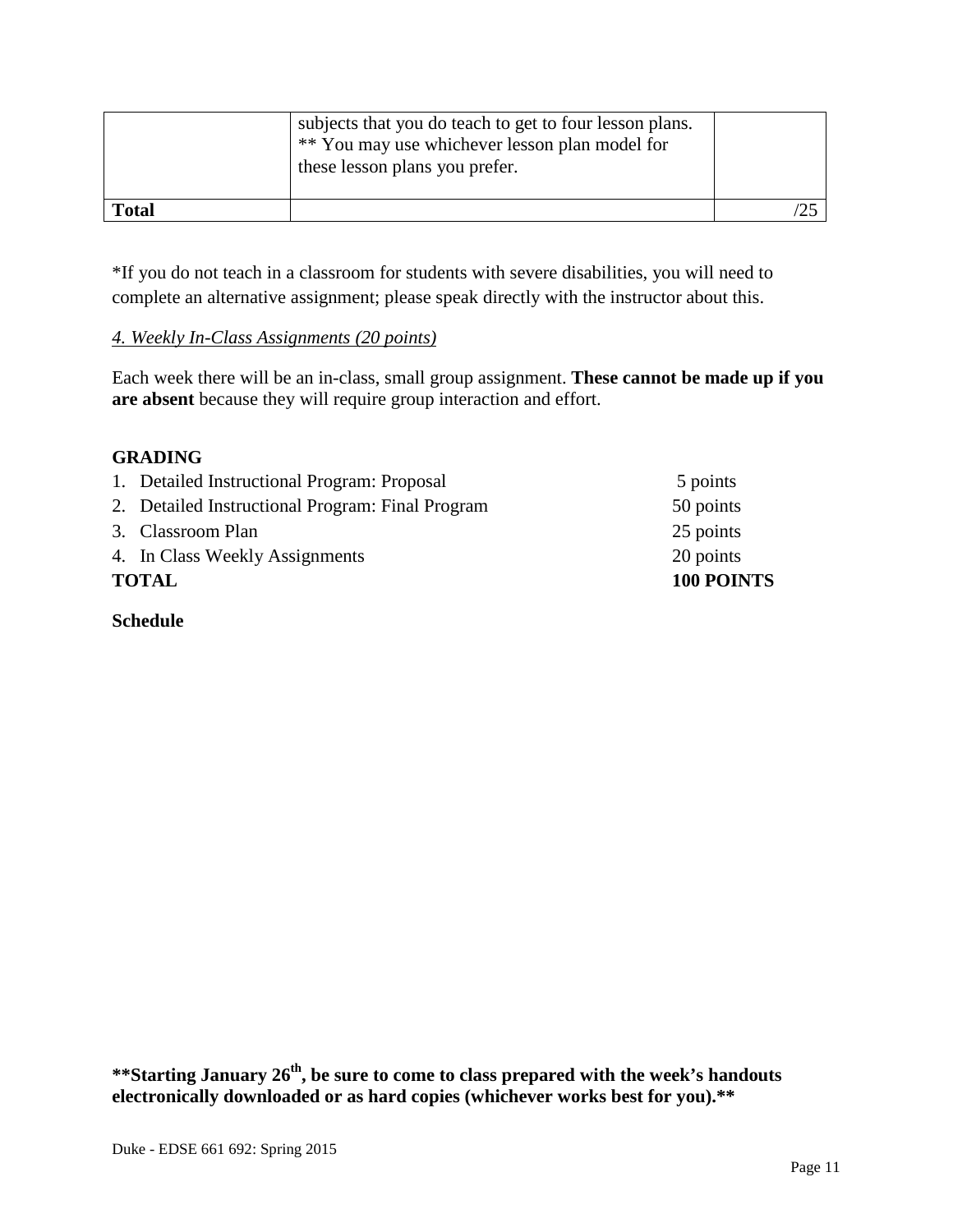|              | subjects that you do teach to get to four lesson plans.<br>** You may use whichever lesson plan model for<br>these lesson plans you prefer. |  |
|--------------|---------------------------------------------------------------------------------------------------------------------------------------------|--|
| <b>Total</b> |                                                                                                                                             |  |

\*If you do not teach in a classroom for students with severe disabilities, you will need to complete an alternative assignment; please speak directly with the instructor about this.

#### *4. Weekly In-Class Assignments (20 points)*

Each week there will be an in-class, small group assignment. **These cannot be made up if you are absent** because they will require group interaction and effort.

#### **GRADING**

| <b>TOTAL</b>                                     | <b>100 POINTS</b> |
|--------------------------------------------------|-------------------|
| 4. In Class Weekly Assignments                   | 20 points         |
| 3. Classroom Plan                                | 25 points         |
| 2. Detailed Instructional Program: Final Program | 50 points         |
| 1. Detailed Instructional Program: Proposal      | 5 points          |

**Schedule**

**\*\*Starting January 26th, be sure to come to class prepared with the week's handouts electronically downloaded or as hard copies (whichever works best for you).\*\***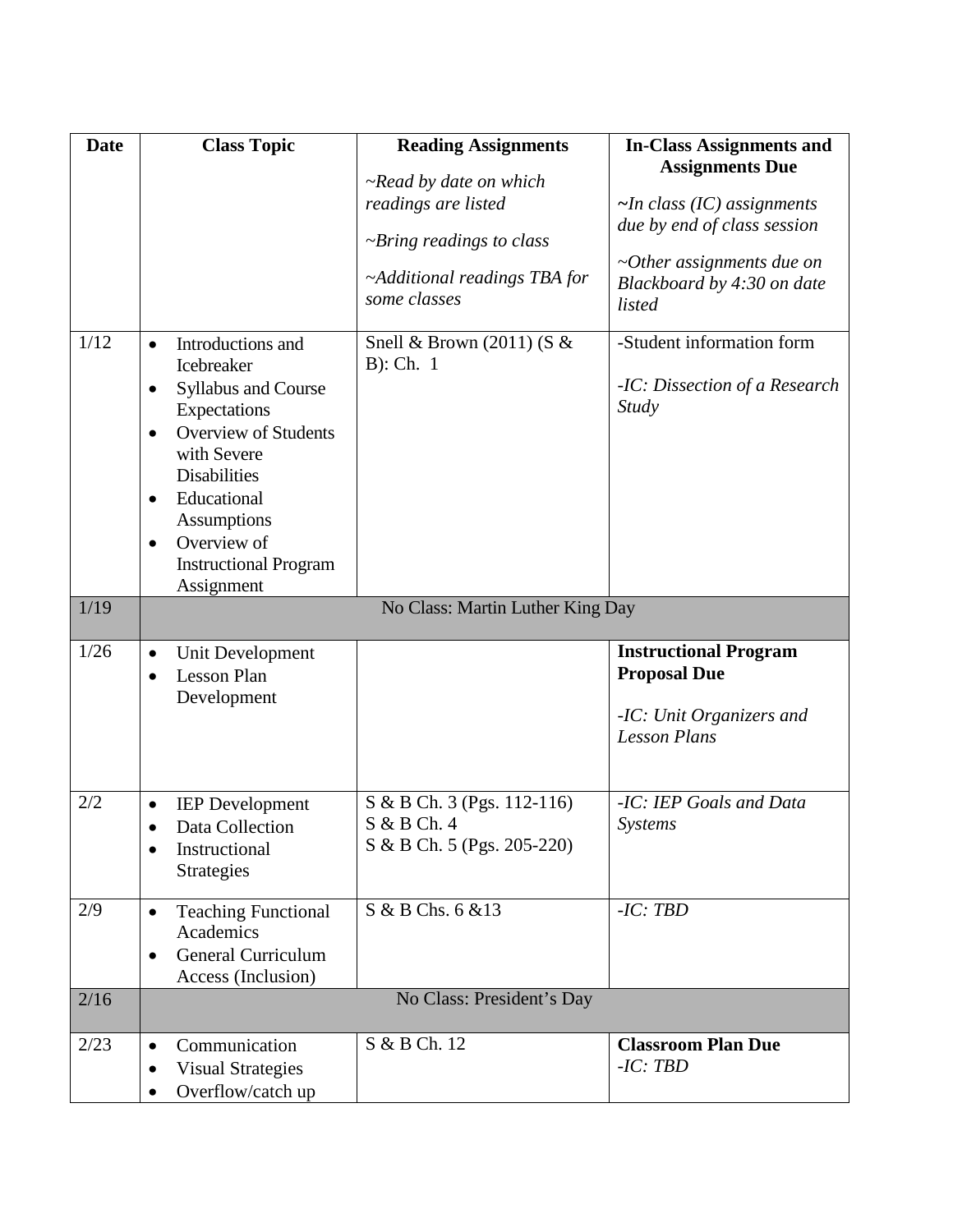| <b>Date</b> | <b>Class Topic</b>                                      | <b>Reading Assignments</b>                   | <b>In-Class Assignments and</b>                                         |
|-------------|---------------------------------------------------------|----------------------------------------------|-------------------------------------------------------------------------|
|             |                                                         | $\neg$ Read by date on which                 | <b>Assignments Due</b>                                                  |
|             |                                                         | readings are listed                          | $\sim$ In class (IC) assignments                                        |
|             |                                                         | $\neg$ <i>Pring readings to class</i>        | due by end of class session                                             |
|             |                                                         | ~Additional readings TBA for<br>some classes | $\sim$ Other assignments due on<br>Blackboard by 4:30 on date<br>listed |
| 1/12        | Introductions and<br>$\bullet$                          | Snell & Brown (2011) (S &                    | -Student information form                                               |
|             | Icebreaker                                              | $B)$ : Ch. 1                                 | -IC: Dissection of a Research                                           |
|             | <b>Syllabus and Course</b><br>$\bullet$<br>Expectations |                                              | <b>Study</b>                                                            |
|             | <b>Overview of Students</b><br>$\bullet$                |                                              |                                                                         |
|             | with Severe                                             |                                              |                                                                         |
|             | <b>Disabilities</b><br>Educational<br>$\bullet$         |                                              |                                                                         |
|             | Assumptions                                             |                                              |                                                                         |
|             | Overview of<br>$\bullet$                                |                                              |                                                                         |
|             | <b>Instructional Program</b><br>Assignment              |                                              |                                                                         |
| 1/19        |                                                         | No Class: Martin Luther King Day             |                                                                         |
|             |                                                         |                                              |                                                                         |
| 1/26        | Unit Development<br>$\bullet$                           |                                              | <b>Instructional Program</b><br><b>Proposal Due</b>                     |
|             | <b>Lesson Plan</b><br>$\bullet$<br>Development          |                                              |                                                                         |
|             |                                                         |                                              | -IC: Unit Organizers and                                                |
|             |                                                         |                                              | <b>Lesson Plans</b>                                                     |
|             |                                                         |                                              |                                                                         |
| 2/2         | <b>IEP</b> Development                                  | S & B Ch. 3 (Pgs. 112-116)                   | -IC: IEP Goals and Data                                                 |
|             | Data Collection                                         | S & B Ch. 4<br>S & B Ch. 5 (Pgs. 205-220)    | <b>Systems</b>                                                          |
|             | Instructional<br>Strategies                             |                                              |                                                                         |
|             |                                                         |                                              |                                                                         |
| 2/9         | <b>Teaching Functional</b><br>$\bullet$<br>Academics    | S & B Chs. 6 & 13                            | $-IC: TBD$                                                              |
|             | General Curriculum<br>$\bullet$                         |                                              |                                                                         |
|             | Access (Inclusion)                                      |                                              |                                                                         |
| 2/16        |                                                         | No Class: President's Day                    |                                                                         |
| 2/23        | Communication                                           | S & B Ch. 12                                 | <b>Classroom Plan Due</b>                                               |
|             | <b>Visual Strategies</b><br>$\bullet$                   |                                              | $-IC: TBD$                                                              |
|             | Overflow/catch up                                       |                                              |                                                                         |